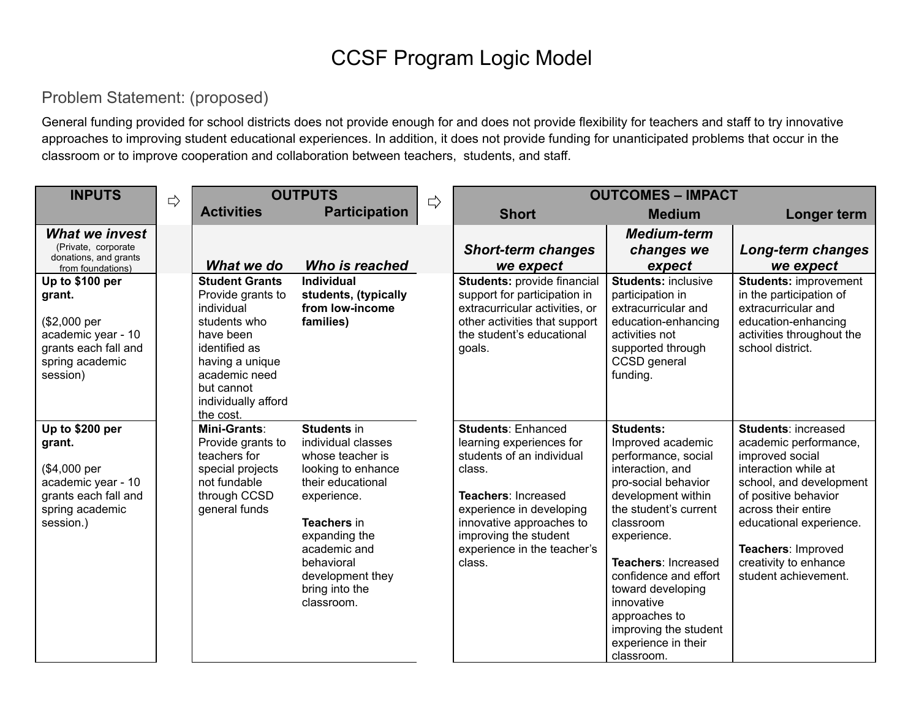## CCSF Program Logic Model

## Problem Statement: (proposed)

General funding provided for school districts does not provide enough for and does not provide flexibility for teachers and staff to try innovative approaches to improving student educational experiences. In addition, it does not provide funding for unanticipated problems that occur in the classroom or to improve cooperation and collaboration between teachers, students, and staff.

| <b>INPUTS</b>                                                                                                           | $\Rightarrow$ | <b>OUTPUTS</b>                                                                                                                                                                               |                                                                                                                                                                                                                                          | $\Rightarrow$ | <b>OUTCOMES - IMPACT</b>                                                                                                                                                                                                                      |                                                                                                                                                                                                                                                                                                                                                      |                                                                                                                                                                                                                                                                            |
|-------------------------------------------------------------------------------------------------------------------------|---------------|----------------------------------------------------------------------------------------------------------------------------------------------------------------------------------------------|------------------------------------------------------------------------------------------------------------------------------------------------------------------------------------------------------------------------------------------|---------------|-----------------------------------------------------------------------------------------------------------------------------------------------------------------------------------------------------------------------------------------------|------------------------------------------------------------------------------------------------------------------------------------------------------------------------------------------------------------------------------------------------------------------------------------------------------------------------------------------------------|----------------------------------------------------------------------------------------------------------------------------------------------------------------------------------------------------------------------------------------------------------------------------|
|                                                                                                                         |               | <b>Activities</b>                                                                                                                                                                            | <b>Participation</b>                                                                                                                                                                                                                     |               | <b>Short</b>                                                                                                                                                                                                                                  | <b>Medium</b>                                                                                                                                                                                                                                                                                                                                        | Longer term                                                                                                                                                                                                                                                                |
| <b>What we invest</b><br>(Private, corporate<br>donations, and grants<br>from foundations)                              |               | What we do                                                                                                                                                                                   | Who is reached                                                                                                                                                                                                                           |               | <b>Short-term changes</b><br>we expect                                                                                                                                                                                                        | <b>Medium-term</b><br>changes we<br>expect                                                                                                                                                                                                                                                                                                           | <b>Long-term changes</b><br>we expect                                                                                                                                                                                                                                      |
| Up to \$100 per<br>grant.<br>(\$2,000 per<br>academic year - 10<br>grants each fall and<br>spring academic<br>session)  |               | <b>Student Grants</b><br>Provide grants to<br>individual<br>students who<br>have been<br>identified as<br>having a unique<br>academic need<br>but cannot<br>individually afford<br>the cost. | <b>Individual</b><br>students, (typically<br>from low-income<br>families)                                                                                                                                                                |               | Students: provide financial<br>support for participation in<br>extracurricular activities, or<br>other activities that support<br>the student's educational<br>goals.                                                                         | <b>Students: inclusive</b><br>participation in<br>extracurricular and<br>education-enhancing<br>activities not<br>supported through<br>CCSD general<br>funding.                                                                                                                                                                                      | <b>Students: improvement</b><br>in the participation of<br>extracurricular and<br>education-enhancing<br>activities throughout the<br>school district.                                                                                                                     |
| Up to \$200 per<br>grant.<br>(\$4,000 per<br>academic year - 10<br>grants each fall and<br>spring academic<br>session.) |               | Mini-Grants:<br>Provide grants to<br>teachers for<br>special projects<br>not fundable<br>through CCSD<br>general funds                                                                       | <b>Students in</b><br>individual classes<br>whose teacher is<br>looking to enhance<br>their educational<br>experience.<br>Teachers in<br>expanding the<br>academic and<br>behavioral<br>development they<br>bring into the<br>classroom. |               | <b>Students: Enhanced</b><br>learning experiences for<br>students of an individual<br>class.<br>Teachers: Increased<br>experience in developing<br>innovative approaches to<br>improving the student<br>experience in the teacher's<br>class. | <b>Students:</b><br>Improved academic<br>performance, social<br>interaction, and<br>pro-social behavior<br>development within<br>the student's current<br>classroom<br>experience.<br>Teachers: Increased<br>confidence and effort<br>toward developing<br>innovative<br>approaches to<br>improving the student<br>experience in their<br>classroom. | <b>Students: increased</b><br>academic performance,<br>improved social<br>interaction while at<br>school, and development<br>of positive behavior<br>across their entire<br>educational experience.<br>Teachers: Improved<br>creativity to enhance<br>student achievement. |